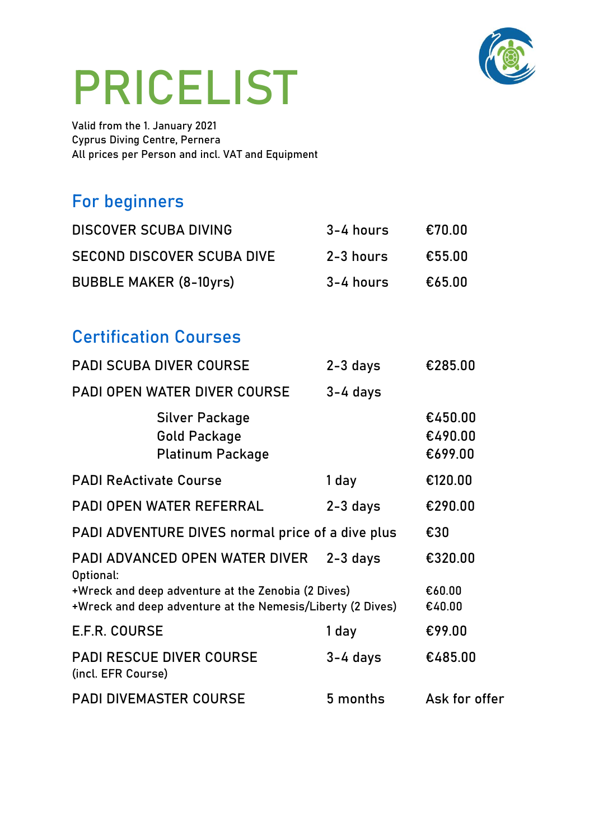

# PRICELIST

Valid from the 1. January 2021 Cyprus Diving Centre, Pernera All prices per Person and incl. VAT and Equipment

#### For beginners

| <b>DISCOVER SCUBA DIVING</b>  | 3-4 hours | €70.00 |
|-------------------------------|-----------|--------|
| SECOND DISCOVER SCUBA DIVE    | 2-3 hours | €55.00 |
| <b>BUBBLE MAKER (8-10yrs)</b> | 3-4 hours | €65.00 |

## Certification Courses

| <b>PADI SCUBA DIVER COURSE</b>                                                                                   | $2-3$ days | €285.00                       |
|------------------------------------------------------------------------------------------------------------------|------------|-------------------------------|
| <b>PADI OPEN WATER DIVER COURSE</b>                                                                              | $3-4$ days |                               |
| Silver Package<br><b>Gold Package</b><br><b>Platinum Package</b>                                                 |            | €450.00<br>€490.00<br>€699.00 |
| <b>PADI ReActivate Course</b>                                                                                    | 1 day      | €120.00                       |
| <b>PADI OPEN WATER REFERRAL</b>                                                                                  | $2-3$ days | €290.00                       |
| PADI ADVENTURE DIVES normal price of a dive plus                                                                 |            | €30                           |
| PADI ADVANCED OPEN WATER DIVER<br>Optional:                                                                      | $2-3$ days | €320.00                       |
| +Wreck and deep adventure at the Zenobia (2 Dives)<br>+Wreck and deep adventure at the Nemesis/Liberty (2 Dives) |            | €60.00<br>€40.00              |
| <b>E.F.R. COURSE</b>                                                                                             | 1 day      | €99.00                        |
| <b>PADI RESCUE DIVER COURSE</b><br>(incl. EFR Course)                                                            | $3-4$ days | €485.00                       |
| <b>PADI DIVEMASTER COURSE</b>                                                                                    | 5 months   | Ask for offer                 |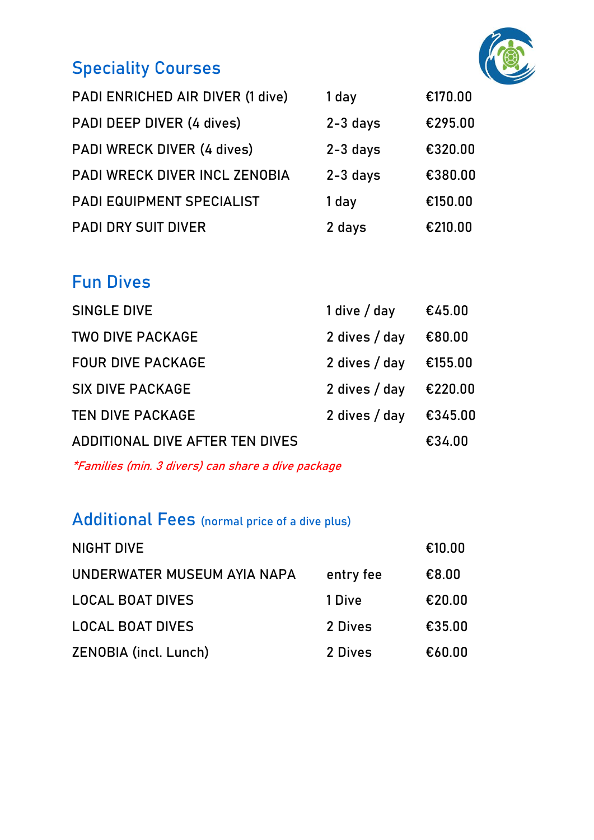### Speciality Courses



| PADI ENRICHED AIR DIVER (1 dive)     | 1 day      | €170.00 |
|--------------------------------------|------------|---------|
| PADI DEEP DIVER (4 dives)            | $2-3$ days | €295.00 |
| PADI WRECK DIVER (4 dives)           | $2-3$ days | €320.00 |
| <b>PADI WRECK DIVER INCL ZENOBIA</b> | $2-3$ days | €380.00 |
| PADI EQUIPMENT SPECIALIST            | 1 day      | €150.00 |
| <b>PADI DRY SUIT DIVER</b>           | 2 days     | €210.00 |

#### Fun Dives

| <b>SINGLE DIVE</b>              | 1 dive / day $\epsilon$ 45.00 |         |
|---------------------------------|-------------------------------|---------|
| <b>TWO DIVE PACKAGE</b>         | 2 dives $/$ day               | €80.00  |
| <b>FOUR DIVE PACKAGE</b>        | 2 dives / day                 | €155.00 |
| <b>SIX DIVE PACKAGE</b>         | 2 dives $/$ day               | €220.00 |
| <b>TEN DIVE PACKAGE</b>         | 2 dives / day                 | €345.00 |
| ADDITIONAL DIVE AFTER TEN DIVES |                               | €34.00  |

\*Families (min. 3 divers) can share a dive package

#### Additional Fees (normal price of a dive plus)

| <b>NIGHT DIVE</b>           |           | €10.00 |
|-----------------------------|-----------|--------|
| UNDERWATER MUSEUM AYIA NAPA | entry fee | €8.00  |
| <b>LOCAL BOAT DIVES</b>     | 1 Dive    | €20.00 |
| <b>LOCAL BOAT DIVES</b>     | 2 Dives   | €35.00 |
| ZENOBIA (incl. Lunch)       | 2 Dives   | €60.00 |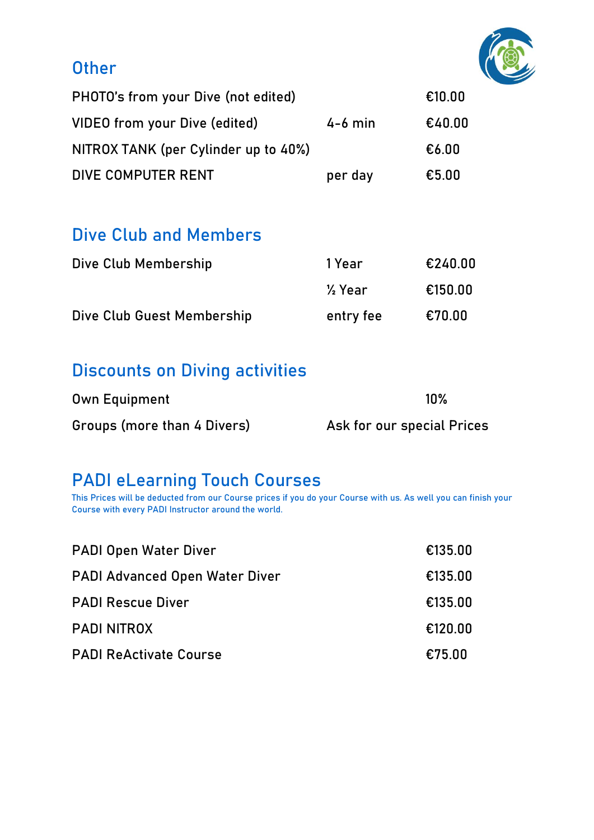

#### **Other**

| PHOTO's from your Dive (not edited)  |           | €10.00 |
|--------------------------------------|-----------|--------|
| VIDEO from your Dive (edited)        | $4-6$ min | €40.00 |
| NITROX TANK (per Cylinder up to 40%) |           | €6.00  |
| DIVE COMPUTER RENT                   | per day   | €5.00  |

## Dive Club and Members

| Dive Club Membership       | 1 Year             | €240.00 |
|----------------------------|--------------------|---------|
|                            | $\frac{1}{2}$ Year | €150.00 |
| Dive Club Guest Membership | entry fee          | €70.00  |

#### Discounts on Diving activities

| <b>Own Equipment</b>        | $10\%$                     |
|-----------------------------|----------------------------|
| Groups (more than 4 Divers) | Ask for our special Prices |

### PADI eLearning Touch Courses

This Prices will be deducted from our Course prices if you do your Course with us. As well you can finish your Course with every PADI Instructor around the world.

| <b>PADI Open Water Diver</b>          | €135.00 |
|---------------------------------------|---------|
| <b>PADI Advanced Open Water Diver</b> | €135.00 |
| <b>PADI Rescue Diver</b>              | €135.00 |
| <b>PADI NITROX</b>                    | €120.00 |
| <b>PADI ReActivate Course</b>         | €75.00  |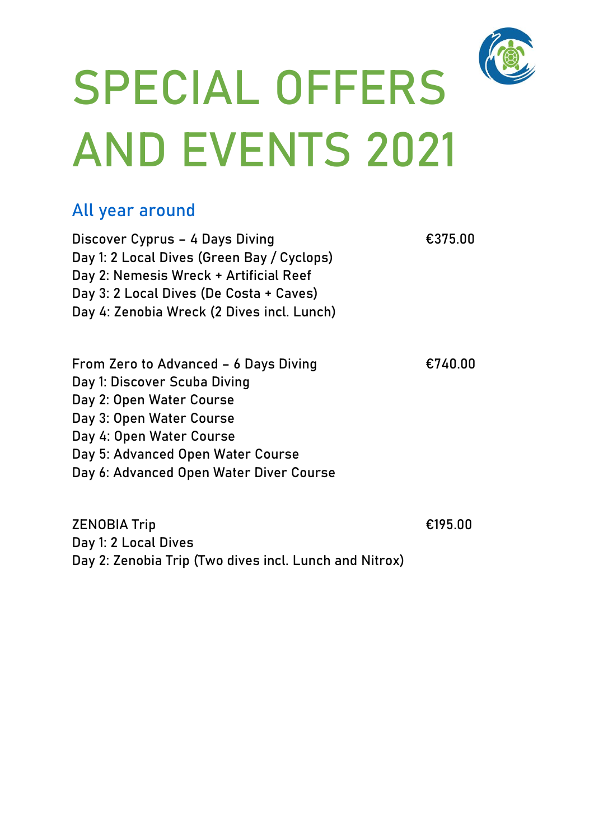

# SPECIAL OFFERS AND EVENTS 2021

#### All year around

**Discover Cyprus – 4 Days Diving €375.00** Day 1: 2 Local Dives (Green Bay / Cyclops) Day 2: Nemesis Wreck + Artificial Reef Day 3: 2 Local Dives (De Costa + Caves) Day 4: Zenobia Wreck (2 Dives incl. Lunch)

**From Zero to Advanced – 6 Days Diving €740.00** Day 1: Discover Scuba Diving Day 2: Open Water Course Day 3: Open Water Course Day 4: Open Water Course Day 5: Advanced Open Water Course Day 6: Advanced Open Water Diver Course

**ZENOBIA Trip €195.00** Day 1: 2 Local Dives Day 2: Zenobia Trip (Two dives incl. Lunch and Nitrox)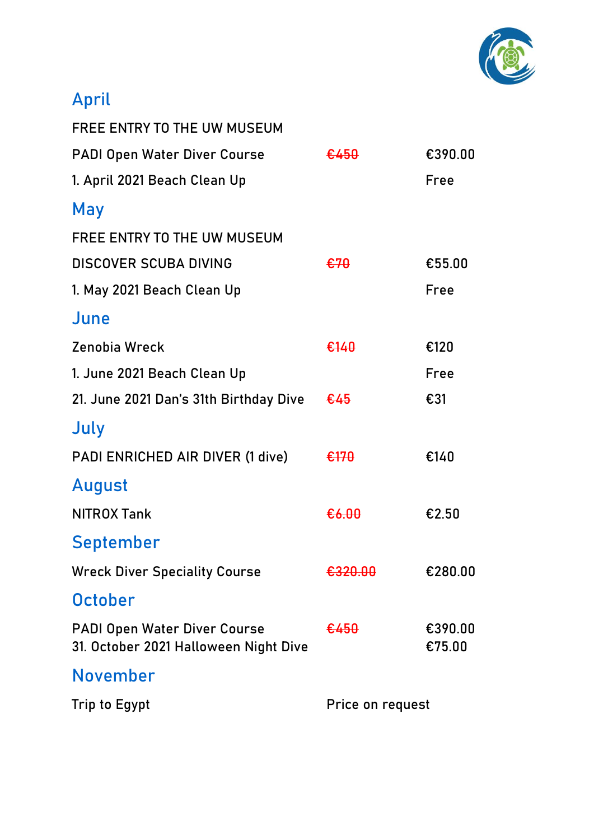

# April

| FREE ENTRY TO THE UW MUSEUM                                                  |                  |                   |
|------------------------------------------------------------------------------|------------------|-------------------|
| <b>PADI Open Water Diver Course</b>                                          | €450             | €390.00           |
| 1. April 2021 Beach Clean Up                                                 |                  | Free              |
| <b>May</b>                                                                   |                  |                   |
| FREE ENTRY TO THE UW MUSEUM                                                  |                  |                   |
| <b>DISCOVER SCUBA DIVING</b>                                                 | €70              | €55.00            |
| 1. May 2021 Beach Clean Up                                                   |                  | Free              |
| June                                                                         |                  |                   |
| Zenobia Wreck                                                                | €140             | €120              |
| 1. June 2021 Beach Clean Up                                                  |                  | Free              |
| 21. June 2021 Dan's 31th Birthday Dive                                       | £45              | €31               |
| July                                                                         |                  |                   |
| PADI ENRICHED AIR DIVER (1 dive)                                             | €170             | €140              |
| <b>August</b>                                                                |                  |                   |
| <b>NITROX Tank</b>                                                           | €6.00            | €2.50             |
| <b>September</b>                                                             |                  |                   |
| <b>Wreck Diver Speciality Course</b>                                         | €320.00          | €280.00           |
| <b>October</b>                                                               |                  |                   |
| <b>PADI Open Water Diver Course</b><br>31. October 2021 Halloween Night Dive | €450             | €390.00<br>€75.00 |
| <b>November</b>                                                              |                  |                   |
| <b>Trip to Egypt</b>                                                         | Price on request |                   |
|                                                                              |                  |                   |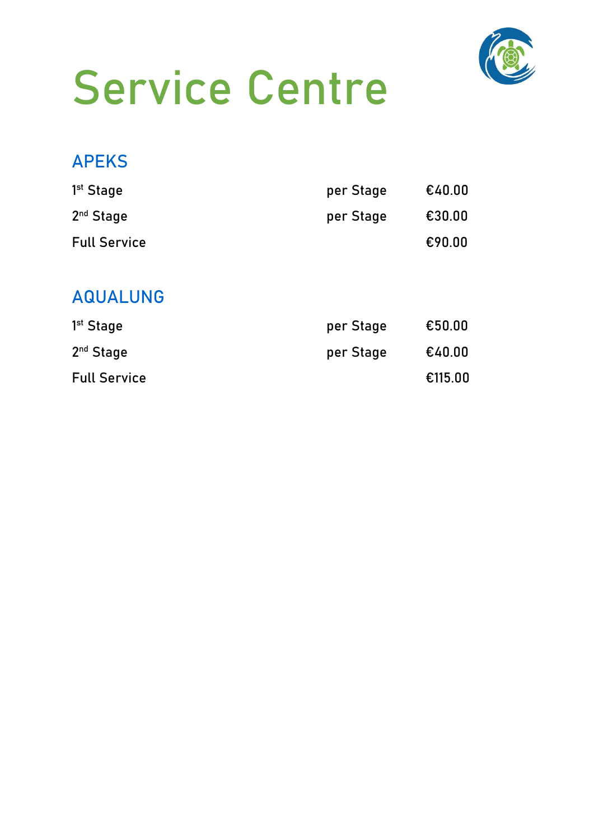

# Service Centre

#### APEKS

| 1 <sup>st</sup> Stage | per Stage | €40.00 |
|-----------------------|-----------|--------|
| $2nd$ Stage           | per Stage | €30.00 |
| <b>Full Service</b>   |           | €90.00 |

#### AQUALUNG

| 1 <sup>st</sup> Stage | per Stage | €50.00  |
|-----------------------|-----------|---------|
| $2nd$ Stage           | per Stage | €40.00  |
| <b>Full Service</b>   |           | €115.00 |